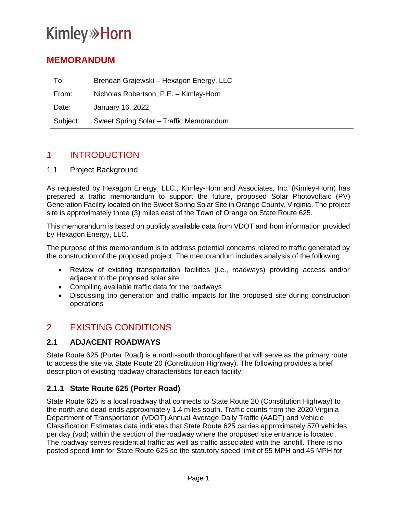# **Kimley»Horn**

## **MEMORANDUM**

| To:      | Brendan Grajewski – Hexagon Energy, LLC |
|----------|-----------------------------------------|
| From:    | Nicholas Robertson, P.E. - Kimley-Horn  |
| Date:    | January 16, 2022                        |
| Subject: | Sweet Spring Solar - Traffic Memorandum |

## 1 INTRODUCTION

1.1 Project Background

As requested by Hexagon Energy, LLC., Kimley-Horn and Associates, Inc. (Kimley-Horn) has prepared a traffic memorandum to support the future, proposed Solar Photovoltaic (PV) Generation Facility located on the Sweet Spring Solar Site in Orange County, Virginia. The project site is approximately three (3) miles east of the Town of Orange on State Route 625.

This memorandum is based on publicly available data from VDOT and from information provided by Hexagon Energy, LLC.

The purpose of this memorandum is to address potential concerns related to traffic generated by the construction of the proposed project. The memorandum includes analysis of the following:

- Review of existing transportation facilities (i.e., roadways) providing access and/or adjacent to the proposed solar site
- Compiling available traffic data for the roadways
- Discussing trip generation and traffic impacts for the proposed site during construction operations

# 2 EXISTING CONDITIONS

#### **2.1 ADJACENT ROADWAYS**

State Route 625 (Porter Road) is a north-south thoroughfare that will serve as the primary route to access the site via State Route 20 (Constitution Highway). The following provides a brief description of existing roadway characteristics for each facility:

#### **2.1.1 State Route 625 (Porter Road)**

State Route 625 is a local roadway that connects to State Route 20 (Constitution Highway) to the north and dead ends approximately 1.4 miles south. Traffic counts from the 2020 Virginia Department of Transportation (VDOT) Annual Average Daily Traffic (AADT) and Vehicle Classification Estimates data indicates that State Route 625 carries approximately 570 vehicles per day (vpd) within the section of the roadway where the proposed site entrance is located. The roadway serves residential traffic as well as traffic associated with the landfill. There is no posted speed limit for State Route 625 so the statutory speed limit of 55 MPH and 45 MPH for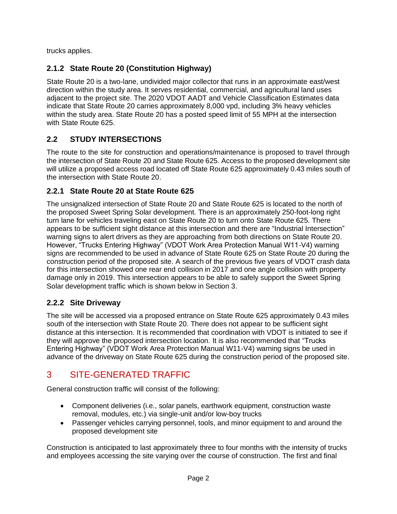trucks applies.

### **2.1.2 State Route 20 (Constitution Highway)**

State Route 20 is a two-lane, undivided major collector that runs in an approximate east/west direction within the study area. It serves residential, commercial, and agricultural land uses adjacent to the project site. The 2020 VDOT AADT and Vehicle Classification Estimates data indicate that State Route 20 carries approximately 8,000 vpd, including 3% heavy vehicles within the study area. State Route 20 has a posted speed limit of 55 MPH at the intersection with State Route 625.

#### **2.2 STUDY INTERSECTIONS**

The route to the site for construction and operations/maintenance is proposed to travel through the intersection of State Route 20 and State Route 625. Access to the proposed development site will utilize a proposed access road located off State Route 625 approximately 0.43 miles south of the intersection with State Route 20.

#### **2.2.1 State Route 20 at State Route 625**

The unsignalized intersection of State Route 20 and State Route 625 is located to the north of the proposed Sweet Spring Solar development. There is an approximately 250-foot-long right turn lane for vehicles traveling east on State Route 20 to turn onto State Route 625. There appears to be sufficient sight distance at this intersection and there are "Industrial Intersection" warning signs to alert drivers as they are approaching from both directions on State Route 20. However, "Trucks Entering Highway" (VDOT Work Area Protection Manual W11-V4) warning signs are recommended to be used in advance of State Route 625 on State Route 20 during the construction period of the proposed site. A search of the previous five years of VDOT crash data for this intersection showed one rear end collision in 2017 and one angle collision with property damage only in 2019. This intersection appears to be able to safely support the Sweet Spring Solar development traffic which is shown below in Section 3.

#### **2.2.2 Site Driveway**

The site will be accessed via a proposed entrance on State Route 625 approximately 0.43 miles south of the intersection with State Route 20. There does not appear to be sufficient sight distance at this intersection. It is recommended that coordination with VDOT is initiated to see if they will approve the proposed intersection location. It is also recommended that "Trucks Entering Highway" (VDOT Work Area Protection Manual W11-V4) warning signs be used in advance of the driveway on State Route 625 during the construction period of the proposed site.

# 3 SITE-GENERATED TRAFFIC

General construction traffic will consist of the following:

- Component deliveries (i.e., solar panels, earthwork equipment, construction waste removal, modules, etc.) via single-unit and/or low-boy trucks
- Passenger vehicles carrying personnel, tools, and minor equipment to and around the proposed development site

Construction is anticipated to last approximately three to four months with the intensity of trucks and employees accessing the site varying over the course of construction. The first and final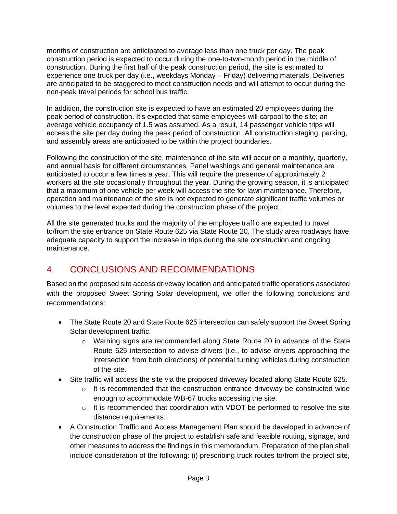months of construction are anticipated to average less than one truck per day. The peak construction period is expected to occur during the one-to-two-month period in the middle of construction. During the first half of the peak construction period, the site is estimated to experience one truck per day (i.e., weekdays Monday – Friday) delivering materials. Deliveries are anticipated to be staggered to meet construction needs and will attempt to occur during the non-peak travel periods for school bus traffic.

In addition, the construction site is expected to have an estimated 20 employees during the peak period of construction. It's expected that some employees will carpool to the site; an average vehicle occupancy of 1.5 was assumed. As a result, 14 passenger vehicle trips will access the site per day during the peak period of construction. All construction staging, parking, and assembly areas are anticipated to be within the project boundaries.

Following the construction of the site, maintenance of the site will occur on a monthly, quarterly, and annual basis for different circumstances. Panel washings and general maintenance are anticipated to occur a few times a year. This will require the presence of approximately 2 workers at the site occasionally throughout the year. During the growing season, it is anticipated that a maximum of one vehicle per week will access the site for lawn maintenance. Therefore, operation and maintenance of the site is not expected to generate significant traffic volumes or volumes to the level expected during the construction phase of the project.

All the site generated trucks and the majority of the employee traffic are expected to travel to/from the site entrance on State Route 625 via State Route 20. The study area roadways have adequate capacity to support the increase in trips during the site construction and ongoing maintenance.

# 4 CONCLUSIONS AND RECOMMENDATIONS

Based on the proposed site access driveway location and anticipated traffic operations associated with the proposed Sweet Spring Solar development, we offer the following conclusions and recommendations:

- The State Route 20 and State Route 625 intersection can safely support the Sweet Spring Solar development traffic.
	- o Warning signs are recommended along State Route 20 in advance of the State Route 625 intersection to advise drivers (i.e., to advise drivers approaching the intersection from both directions) of potential turning vehicles during construction of the site.
- Site traffic will access the site via the proposed driveway located along State Route 625.
	- $\circ$  It is recommended that the construction entrance driveway be constructed wide enough to accommodate WB-67 trucks accessing the site.
	- $\circ$  It is recommended that coordination with VDOT be performed to resolve the site distance requirements.
- A Construction Traffic and Access Management Plan should be developed in advance of the construction phase of the project to establish safe and feasible routing, signage, and other measures to address the findings in this memorandum. Preparation of the plan shall include consideration of the following: (i) prescribing truck routes to/from the project site,